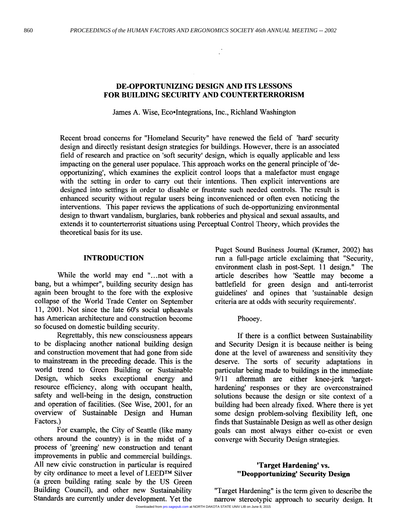## **DE-OPPORTUNIZING DESIGN AND ITS LESSONS FOR BUILDING SECURITY AND COUNTERTERRORISM**

James A. Wise, Eco•Integrations, Inc., Richland Washington

Recent broad concerns for "Homeland Security" have renewed the field of 'hard' security design and directly resistant design strategies for buildings. However, there is an associated field of research and practice on 'soft security' design, which is equally applicable and less impacting on the general user populace. This approach works on the general principle of 'deopportunizing', which examines the explicit control loops that a malefactor must engage with the setting in order to carry out their intentions. Then explicit interventions are designed into settings in order to disable or frustrate such needed controls. The result is enhanced security without regular users being inconvenienced or often even noticing the interventions. This paper reviews the applications of such de-opportunizing environmental design to thwart vandalism, burglaries, bank robberies and physical and sexual assaults, and extends it to counterterrorist situations using Perceptual Control Theory, which provides the theoretical basis for its use.

#### **INTRODUCTION**

While the world may end "...not with a bang, but a whimper", building security design has again been brought to the fore with the explosive collapse of the World Trade Center on September 11, 2001. Not since the late 60's social upheavals has American architecture and construction become so focused on domestic building security.

Regrettably, this new consciousness appears to be displacing another national building design and construction movement that had gone from side to mainstream in the preceding decade. This is the world trend to Green Building or Sustainable Design, which seeks exceptional energy and resource efficiency, along with occupant health, safety and well-being in the design, construction and operation of facilities. (See Wise, 2001, for an overview of Sustainable Design and Human Factors.)

For example, the City of Seattle (like many others around the country) is in the midst of a process of 'greening' new construction and tenant improvements in public and commercial buildings. All new civic construction in particular is required by city ordinance to meet a level of **LEEDTM** Silver (a green building rating scale by the **US** Green Building Council), and other new Sustainability Standards are currently under development. Yet the

Puget Sound Business Journal (Kramer, 2002) has run a full-page article exclaiming that "Security, environment clash in post-Sept. 11 design.'' The article describes how 'Seattle may become a battlefield for green design and anti-terrorist guidelines' and opines that 'sustainable design criteria are at odds with security requirements'.

Phooey.

If there is a conflict between Sustainability and Security Design it is because neither is being done at the level of awareness and sensitivity they deserve. The sorts of security adaptations in particular being made to buildings in the immediate 9/11 aftermath are either knee-jerk 'targethardening' responses or they are overconstrained solutions because the design or site context of a building had been already fixed. Where there is yet some design problem-solving flexibility left, one finds that Sustainable Design **as** well as other design goals can most always either co-exist or even converge with Security Design strategies.

#### **'Target Hardening' vs. "Deopportunizing' Security Design**

"Target Hardening" is the term given to describe the narrow stereotypic approach to security design. It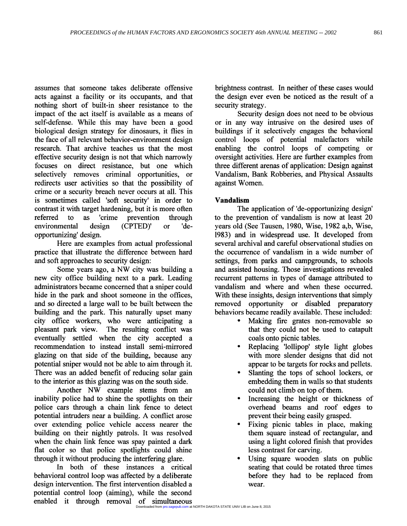assumes that someone takes deliberate offensive acts against a facility or its occupants, and that nothing short of built-in sheer resistance to the impact of the act itself is available as a means of self-defense. While this may have been a good biological design strategy for dinosaurs, it flies in the face of all relevant behavior-environment design research. That archive teaches us that the most effective security design is not that which narrowly focuses on direct resistance, but one which selectively removes criminal opportunities, or redirects user activities *so* that the possibility of crime or a security breach never occurs at all. This is sometimes called 'soft security' in order to contrast it with target hardening, but it **is** more often referred to **as** 'crime prevention through environmental design (CPTED)' or 'deopportunizing' design.

Here are examples from actual professional practice that illustrate the difference between hard and soft approaches to security design:

Some years ago, a NW city was building a new city office building next to a park. Leading administrators became concerned that a sniper could hide in the park and shoot someone in the offices, and so directed a large wall to be built between the building and the park. This naturally upset many city office workers, who were anticipating a pleasant park view. The resulting conflict was eventually settled when the city accepted a recommendation to instead install semi-mirrored glazing on that side of the building, because any potential sniper would not be able to aim through it. There was an added benefit of reducing solar gain to the interior as this glazing was on the south side.

Another NW example stems from an inability police had to shine the spotlights on their police cars through a chain link fence to detect potential intruders near a building. A conflict arose over extending police vehicle access nearer the building on their nightly patrols. It was resolved when the chain link fence was spay painted a dark flat color so that police spotlights could shine through it without producing the interfering glare.

In both of these instances a critical behavioral control loop was affected by a deliberate design intervention. The first intervention disabled a potential control loop (aiming), while the second enabled it through removal of simultaneous

brightness contrast. In neither of these cases would the design ever even be noticed **as** the result of a security strategy.

Security design does not need to be obvious or in any way intrusive on the desired uses of buildings if it selectively engages the behavioral control loops of potential malefactors while enabling the control loops of competing or oversight activities. Here are further examples from three different arenas of application: Design against Vandalism, Bank Robberies, and Physical Assaults against Women.

### **Vandalism**

The application of 'de-opportunizing design' to the prevention of vandalism is now at least 20 years old (See Tausen, 1980, Wise, 1982 a,b, Wise, 1983) and in widespread use. It developed from several archival and careful observational studies on the occurrence of vandalism in a wide number of settings, from parks and campgrounds, to schools and assisted housing. Those investigations revealed recurrent patterns in types of damage attributed to vandalism and where and when these occurred. With these insights, design interventions that simply removed opportunity or disabled preparatory behaviors became readily available. These included:

- Making fire grates non-removable so that they could not be used to catapult coals onto picnic tables.
- Replacing 'lollipop' style light globes with more slender designs that did not appear to be targets for rocks and pellets.
- Slanting the tops of school lockers, or embedding them in walls so that students could not climb on top of them.
- Increasing the height or thickness of overhead beams and roof edges to prevent their being easily grasped.
- Fixing picnic tables in place, making them square instead of rectangular, and using a light colored finish that provides less contrast for carving.
- Using square wooden slats on public seating that could be rotated three times before they had to be replaced from wear.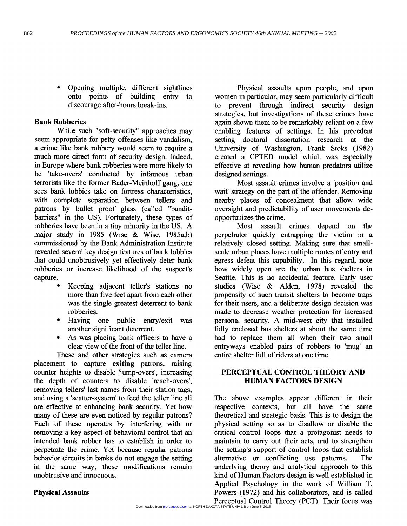Opening multiple, different sightlines onto points of building entry to discourage after-hours break-ins.

#### **Bank Robberies**

While such "soft-security" approaches may seem appropriate for petty offenses like vandalism, a crime like bank robbery would seem to require a much more direct form of security design. Indeed, in Europe where bank robberies were more likely to be 'take-overs' conducted by infamous urban terrorists like the former Bader-Meinhoff gang, one sees bank lobbies take on fortress characteristics, with complete separation between tellers and patrons by bullet proof glass (called "banditbarriers" in the US). Fortunately, these types of robberies have been in a tiny minority in the **US.** A major study in 1985 (Wise & Wise, 1985a,b) commissioned by the Bank Administration Institute revealed several key design features of bank lobbies that could unobtrusively yet effectively deter bank robberies or increase likelihood of the suspect's capture.

- Keeping adjacent teller's stations no more than five feet apart from each other was the single greatest deterrent to bank robberies.
- Having one public entry/exit was  $\bullet$ another significant deterrent,
- As was placing bank oficers to have a clear view of the front of the teller line.

These and other strategies such **as** camera placement to capture **exiting** patrons, raising counter heights to disable 'jump-overs', increasing the depth of counters to disable 'reach-overs', removing tellers' last names from their station tags, and using a 'scatter-system' to feed the teller line all are effective at enhancing bank security. Yet how many of these are even noticed by regular patrons? Each of these operates by interfering with or removing a key aspect of behavioral control that an intended bank robber has to establish in order to perpetrate the crime. Yet because regular patrons behavior circuits in banks do not engage the setting in the same way, these modifications remain unobtrusive and innocuous.

Physical assaults upon people, and upon women in particular, may seem particularly difficult to prevent through indirect security design strategies, but investigations of these crimes have again shown them to be remarkably reliant on a few enabling features of settings. In his precedent setting doctoral dissertation research at the University of Washington, Frank Stoks (1982) created a CPTED model which was especially effective at revealing how human predators utilize designed settings.

Most assault crimes involve a 'position and wait' strategy on the part of the offender. Removing nearby places of concealment that allow wide oversight and predictability of user movements deopportunizes the crime.

Most assault crimes depend on the perpetrator quickly entrapping the victim in a relatively closed setting. Making sure that smallscale urban places have multiple routes of entry and egress defeat this capability. In this regard, note how widely open are the urban bus shelters in Seattle. This is no accidental feature. Early user studies (Wise & Alden, 1978) revealed the propensity of such transit shelters to become traps for their users, and a deliberate design decision was made to decrease weather protection for increased personal security. **A** mid-west city that installed fully enclosed bus shelters at about the same time had to replace them all when their two small entryways enabled pairs of robbers to 'mug' **an**  entire shelter full of riders at one time.

### **PERCEPTUAL CONTROL THEORY AND HUMAN FACTORS DESIGN**

The above examples appear different in their respective contexts, but all have the same theoretical and strategic basis. This is to design the physical setting so as to disallow **or** disable the critical control loops that a protagonist needs to maintain to carry out their acts, and to strengthen the setting's support of control loops that establish alternative or conflicting use patterns. The underlying theory and analytical approach to this kind of Human Factors design is well established in Applied Psychology in the work of William T. Powers (1972) and his collaborators, and is called Perceptual Control Theory (PCT). Their focus was

### **Physical Assaults**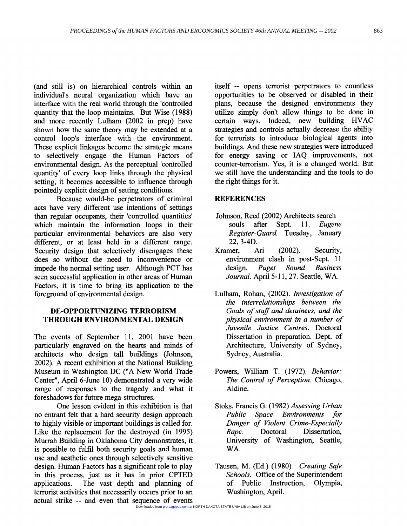(and still is) on hierarchical controls within an individual's neural organization which have an interface with the real world through the 'controlled quantity that the loop maintains. But Wise (1988) and more recently Lulham (2002 in prep) have shown how the same theory may be extended at a control loop's interface with the environment. These explicit linkages become the strategic means to selectively engage the Human Factors of environmental design. As the perceptual 'controlled quantity' of every loop links through the physical setting, it becomes accessible to influence through pointedly explicit design of setting conditions.

Because would-be perpetrators of criminal acts have very different use intentions of settings than regular occupants, their 'controlled quantities' which maintain the information loops in their particular environmental behaviors are also very different, or at least held in a different range. Security design that selectively disengages these does so without the need to inconvenience or impede the normal setting user. Although PCT has seen successful application in other areas of Human Factors, it is time to bring its application to the foreground of environmental design.

# **DE-OPPORTUNIZING TERRORISM THROUGH ENVIRONMENTAL DESIGN**

The events of September 11, 2001 have been particularly engraved on the hearts and minds of architects who design tall buildings (Johnson, 2002). **A** recent exhibition at the National Building Museum in Washington DC ("A New World Trade Center'', April 6-June 10) demonstrated a very wide range of responses to the tragedy and what it foreshadows for future mega-structures.

One lesson evident in this exhibition is that no entrant felt that a hard security design approach to highly visible or important buildings is called for. Like the replacement for the destroyed (in 1995) Murrah Building in Oklahoma City demonstrates, it is possible to fulfil both security goals and human use and aesthetic ones through selectively sensitive design. Human Factors has a significant role to play in this process, just as it has in prior CPTED applications. The vast depth and planning of terrorist activities that necessarily occurs prior to an actual strike -- and even that sequence of events itself -- opens terrorist perpetrators to countless opportunities to be observed or disabled in their plans, because the designed environments they utilize simply don't allow things to be done in certain ways. Indeed, new building HVAC strategies and controls actually decrease the ability for terrorists to introduce biological agents into buildings. And these new strategies were introduced for energy saving or IAQ improvements, not counter-terrorism. Yes, it is a changed world. But we still have the understanding and the tools to do the right things for it.

### **REFERENCES**

- Johnson, Reed (2002) Architects search<br>souls after Sept. 11. Eugene after Sept. 11. *Register-Guard.* Tuesday, January 22,3-4D.
- Kramer, *Ari* (2002). Security, environment clash in post-Sept. 11 design. *Puget Sound Business Journal.* April 5-11, 27. Seattle, WA.
- Lulham, Rohan, (2002). *Investigation of the interrelationships between the Goals of staff and detainees, and the physical environment in a number of Juvenile Justice Centres.* Doctoral Dissertation in preparation. Dept. of Architecture, University of Sydney, Sydney, Australia.
- Powers, William T. (1972). *Behavior: The Control of Perception.* Chicago, Aldine.
- Stoks, Francis G. (1 982) *Assessing Urban Public Space Environments for Danger of Violent Crime-Especially Rape.* Doctoral Dissertation, University of Washington, Seattle, WA.
- Tausen, M. (Ed.) (1980). *Creating Safe Schools.* Office of the Superintendent of Public Instruction, Olympia, Washington, April.